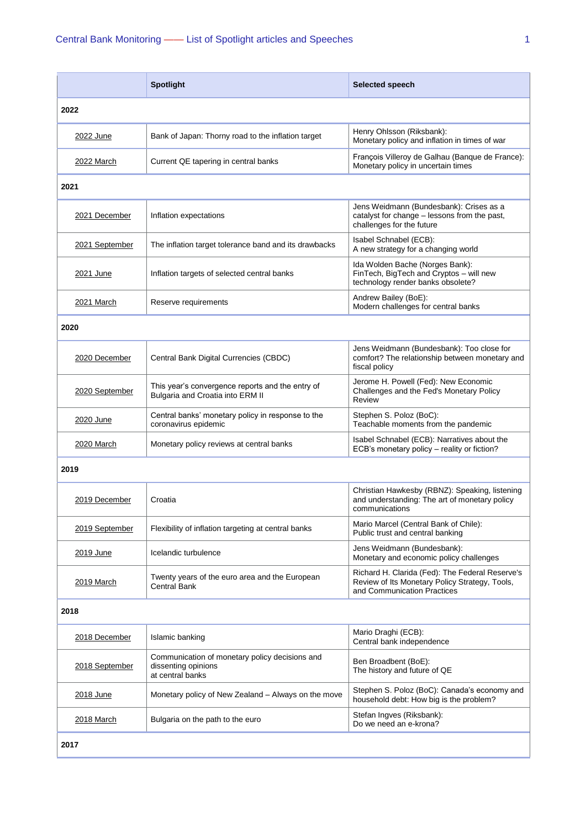|                   | <b>Spotlight</b>                                                                          | Selected speech                                                                                                                  |  |  |
|-------------------|-------------------------------------------------------------------------------------------|----------------------------------------------------------------------------------------------------------------------------------|--|--|
| 2022              |                                                                                           |                                                                                                                                  |  |  |
| 2022 June         | Bank of Japan: Thorny road to the inflation target                                        | Henry Ohlsson (Riksbank):<br>Monetary policy and inflation in times of war                                                       |  |  |
| 2022 March        | Current QE tapering in central banks                                                      | François Villeroy de Galhau (Banque de France):<br>Monetary policy in uncertain times                                            |  |  |
| 2021              |                                                                                           |                                                                                                                                  |  |  |
| 2021 December     | Inflation expectations                                                                    | Jens Weidmann (Bundesbank): Crises as a<br>catalyst for change - lessons from the past,<br>challenges for the future             |  |  |
| 2021 September    | The inflation target tolerance band and its drawbacks                                     | Isabel Schnabel (ECB):<br>A new strategy for a changing world                                                                    |  |  |
| 2021 June         | Inflation targets of selected central banks                                               | Ida Wolden Bache (Norges Bank):<br>FinTech, BigTech and Cryptos - will new<br>technology render banks obsolete?                  |  |  |
| 2021 March        | Reserve requirements                                                                      | Andrew Bailey (BoE):<br>Modern challenges for central banks                                                                      |  |  |
| 2020              |                                                                                           |                                                                                                                                  |  |  |
| 2020 December     | Central Bank Digital Currencies (CBDC)                                                    | Jens Weidmann (Bundesbank): Too close for<br>comfort? The relationship between monetary and<br>fiscal policy                     |  |  |
| 2020 September    | This year's convergence reports and the entry of<br>Bulgaria and Croatia into ERM II      | Jerome H. Powell (Fed): New Economic<br>Challenges and the Fed's Monetary Policy<br>Review                                       |  |  |
| 2020 June         | Central banks' monetary policy in response to the<br>coronavirus epidemic                 | Stephen S. Poloz (BoC):<br>Teachable moments from the pandemic                                                                   |  |  |
| 2020 March        | Monetary policy reviews at central banks                                                  | Isabel Schnabel (ECB): Narratives about the<br>ECB's monetary policy - reality or fiction?                                       |  |  |
| 2019              |                                                                                           |                                                                                                                                  |  |  |
| 2019 December     | Croatia                                                                                   | Christian Hawkesby (RBNZ): Speaking, listening<br>and understanding: The art of monetary policy<br>communications                |  |  |
| 2019 September    | Flexibility of inflation targeting at central banks                                       | Mario Marcel (Central Bank of Chile):<br>Public trust and central banking                                                        |  |  |
| 2019 June         | Icelandic turbulence                                                                      | Jens Weidmann (Bundesbank):<br>Monetary and economic policy challenges                                                           |  |  |
| <u>2019 March</u> | Twenty years of the euro area and the European<br>Central Bank                            | Richard H. Clarida (Fed): The Federal Reserve's<br>Review of Its Monetary Policy Strategy, Tools,<br>and Communication Practices |  |  |
| 2018              |                                                                                           |                                                                                                                                  |  |  |
| 2018 December     | Islamic banking                                                                           | Mario Draghi (ECB):<br>Central bank independence                                                                                 |  |  |
| 2018 September    | Communication of monetary policy decisions and<br>dissenting opinions<br>at central banks | Ben Broadbent (BoE):<br>The history and future of QE                                                                             |  |  |
| 2018 June         | Monetary policy of New Zealand - Always on the move                                       | Stephen S. Poloz (BoC): Canada's economy and<br>household debt: How big is the problem?                                          |  |  |
| 2018 March        | Bulgaria on the path to the euro                                                          | Stefan Ingves (Riksbank):<br>Do we need an e-krona?                                                                              |  |  |
| 2017              |                                                                                           |                                                                                                                                  |  |  |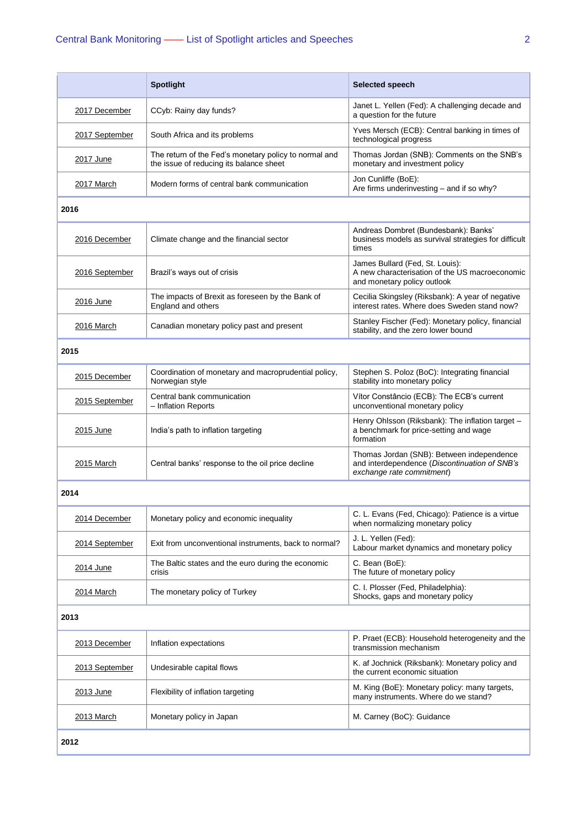|                | <b>Spotlight</b>                                                                                 | <b>Selected speech</b>                                                                                                  |  |  |
|----------------|--------------------------------------------------------------------------------------------------|-------------------------------------------------------------------------------------------------------------------------|--|--|
| 2017 December  | CCyb: Rainy day funds?                                                                           | Janet L. Yellen (Fed): A challenging decade and<br>a question for the future                                            |  |  |
| 2017 September | South Africa and its problems                                                                    | Yves Mersch (ECB): Central banking in times of<br>technological progress                                                |  |  |
| 2017 June      | The return of the Fed's monetary policy to normal and<br>the issue of reducing its balance sheet | Thomas Jordan (SNB): Comments on the SNB's<br>monetary and investment policy                                            |  |  |
| 2017 March     | Modern forms of central bank communication                                                       | Jon Cunliffe (BoE):<br>Are firms underinvesting - and if so why?                                                        |  |  |
| 2016           |                                                                                                  |                                                                                                                         |  |  |
| 2016 December  | Climate change and the financial sector                                                          | Andreas Dombret (Bundesbank): Banks'<br>business models as survival strategies for difficult<br>times                   |  |  |
| 2016 September | Brazil's ways out of crisis                                                                      | James Bullard (Fed, St. Louis):<br>A new characterisation of the US macroeconomic<br>and monetary policy outlook        |  |  |
| 2016 June      | The impacts of Brexit as foreseen by the Bank of<br>England and others                           | Cecilia Skingsley (Riksbank): A year of negative<br>interest rates. Where does Sweden stand now?                        |  |  |
| 2016 March     | Canadian monetary policy past and present                                                        | Stanley Fischer (Fed): Monetary policy, financial<br>stability, and the zero lower bound                                |  |  |
| 2015           |                                                                                                  |                                                                                                                         |  |  |
| 2015 December  | Coordination of monetary and macroprudential policy,<br>Norwegian style                          | Stephen S. Poloz (BoC): Integrating financial<br>stability into monetary policy                                         |  |  |
| 2015 September | Central bank communication<br>- Inflation Reports                                                | Vítor Constâncio (ECB): The ECB's current<br>unconventional monetary policy                                             |  |  |
| 2015 June      | India's path to inflation targeting                                                              | Henry Ohlsson (Riksbank): The inflation target -<br>a benchmark for price-setting and wage<br>formation                 |  |  |
| 2015 March     | Central banks' response to the oil price decline                                                 | Thomas Jordan (SNB): Between independence<br>and interdependence (Discontinuation of SNB's<br>exchange rate commitment) |  |  |
| 2014           |                                                                                                  |                                                                                                                         |  |  |
| 2014 December  | Monetary policy and economic inequality                                                          | C. L. Evans (Fed, Chicago): Patience is a virtue<br>when normalizing monetary policy                                    |  |  |
| 2014 September | Exit from unconventional instruments, back to normal?                                            | J. L. Yellen (Fed):<br>Labour market dynamics and monetary policy                                                       |  |  |
| 2014 June      | The Baltic states and the euro during the economic<br>crisis                                     | C. Bean (BoE):<br>The future of monetary policy                                                                         |  |  |
| 2014 March     | The monetary policy of Turkey                                                                    | C. I. Plosser (Fed, Philadelphia):<br>Shocks, gaps and monetary policy                                                  |  |  |
| 2013           |                                                                                                  |                                                                                                                         |  |  |
| 2013 December  | Inflation expectations                                                                           | P. Praet (ECB): Household heterogeneity and the<br>transmission mechanism                                               |  |  |
| 2013 September | Undesirable capital flows                                                                        | K. af Jochnick (Riksbank): Monetary policy and<br>the current economic situation                                        |  |  |
| 2013 June      | Flexibility of inflation targeting                                                               | M. King (BoE): Monetary policy: many targets,<br>many instruments. Where do we stand?                                   |  |  |
| 2013 March     | Monetary policy in Japan                                                                         | M. Carney (BoC): Guidance                                                                                               |  |  |
| 2012           |                                                                                                  |                                                                                                                         |  |  |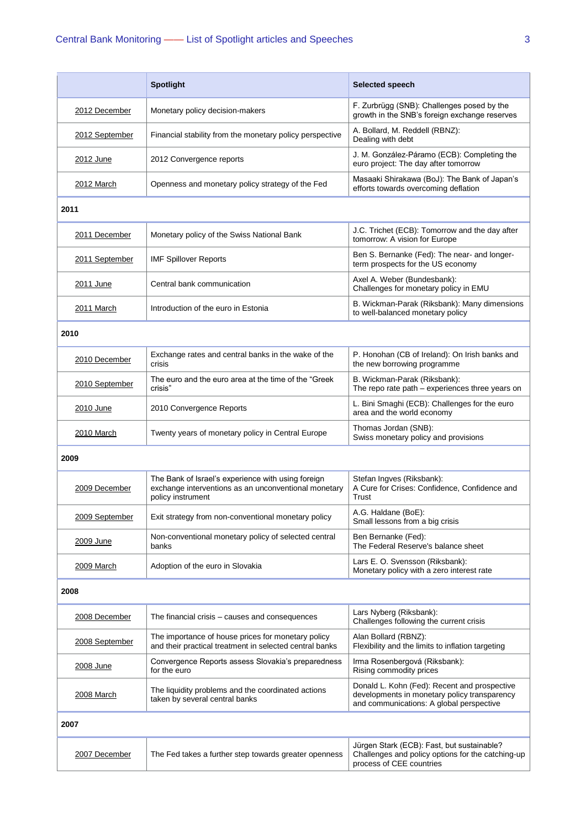|                   | <b>Spotlight</b>                                                                                                                | Selected speech                                                                                                                          |  |  |
|-------------------|---------------------------------------------------------------------------------------------------------------------------------|------------------------------------------------------------------------------------------------------------------------------------------|--|--|
| 2012 December     | Monetary policy decision-makers                                                                                                 | F. Zurbrügg (SNB): Challenges posed by the<br>growth in the SNB's foreign exchange reserves                                              |  |  |
| 2012 September    | Financial stability from the monetary policy perspective                                                                        | A. Bollard, M. Reddell (RBNZ):<br>Dealing with debt                                                                                      |  |  |
| 2012 June         | 2012 Convergence reports                                                                                                        | J. M. González-Páramo (ECB): Completing the<br>euro project: The day after tomorrow                                                      |  |  |
| 2012 March        | Openness and monetary policy strategy of the Fed                                                                                | Masaaki Shirakawa (BoJ): The Bank of Japan's<br>efforts towards overcoming deflation                                                     |  |  |
| 2011              |                                                                                                                                 |                                                                                                                                          |  |  |
| 2011 December     | Monetary policy of the Swiss National Bank                                                                                      | J.C. Trichet (ECB): Tomorrow and the day after<br>tomorrow: A vision for Europe                                                          |  |  |
| 2011 September    | <b>IMF Spillover Reports</b>                                                                                                    | Ben S. Bernanke (Fed): The near- and longer-<br>term prospects for the US economy                                                        |  |  |
| 2011 June         | Central bank communication                                                                                                      | Axel A. Weber (Bundesbank):<br>Challenges for monetary policy in EMU                                                                     |  |  |
| 2011 March        | Introduction of the euro in Estonia                                                                                             | B. Wickman-Parak (Riksbank): Many dimensions<br>to well-balanced monetary policy                                                         |  |  |
| 2010              |                                                                                                                                 |                                                                                                                                          |  |  |
| 2010 December     | Exchange rates and central banks in the wake of the<br>crisis                                                                   | P. Honohan (CB of Ireland): On Irish banks and<br>the new borrowing programme                                                            |  |  |
| 2010 September    | The euro and the euro area at the time of the "Greek"<br>crisis"                                                                | B. Wickman-Parak (Riksbank):<br>The repo rate path - experiences three years on                                                          |  |  |
| 2010 June         | 2010 Convergence Reports                                                                                                        | L. Bini Smaghi (ECB): Challenges for the euro<br>area and the world economy                                                              |  |  |
| 2010 March        | Twenty years of monetary policy in Central Europe                                                                               | Thomas Jordan (SNB):<br>Swiss monetary policy and provisions                                                                             |  |  |
| 2009              |                                                                                                                                 |                                                                                                                                          |  |  |
| 2009 December     | The Bank of Israel's experience with using foreign<br>exchange interventions as an unconventional monetary<br>policy instrument | Stefan Ingves (Riksbank):<br>A Cure for Crises: Confidence, Confidence and<br>Trust                                                      |  |  |
| 2009 September    | Exit strategy from non-conventional monetary policy                                                                             | A.G. Haldane (BoE):<br>Small lessons from a big crisis                                                                                   |  |  |
| 2009 June         | Non-conventional monetary policy of selected central<br>banks                                                                   | Ben Bernanke (Fed):<br>The Federal Reserve's balance sheet                                                                               |  |  |
| 2009 March        | Adoption of the euro in Slovakia                                                                                                | Lars E. O. Svensson (Riksbank):<br>Monetary policy with a zero interest rate                                                             |  |  |
| 2008              |                                                                                                                                 |                                                                                                                                          |  |  |
| 2008 December     | The financial crisis - causes and consequences                                                                                  | Lars Nyberg (Riksbank):<br>Challenges following the current crisis                                                                       |  |  |
| 2008 September    | The importance of house prices for monetary policy<br>and their practical treatment in selected central banks                   | Alan Bollard (RBNZ):<br>Flexibility and the limits to inflation targeting                                                                |  |  |
| 2008 June         | Convergence Reports assess Slovakia's preparedness<br>for the euro                                                              | Irma Rosenbergová (Riksbank):<br>Rising commodity prices                                                                                 |  |  |
| <b>2008 March</b> | The liquidity problems and the coordinated actions<br>taken by several central banks                                            | Donald L. Kohn (Fed): Recent and prospective<br>developments in monetary policy transparency<br>and communications: A global perspective |  |  |
| 2007              |                                                                                                                                 |                                                                                                                                          |  |  |
| 2007 December     | The Fed takes a further step towards greater openness                                                                           | Jürgen Stark (ECB): Fast, but sustainable?<br>Challenges and policy options for the catching-up<br>process of CEE countries              |  |  |